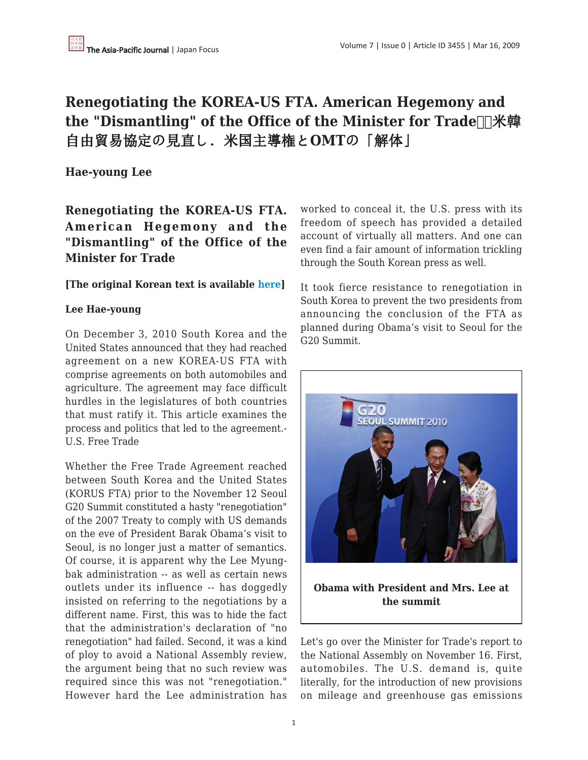# **Renegotiating the KOREA-US FTA. American Hegemony and** the "Dismantling" of the Office of the Minister for Trade **TA** 年 自由貿易協定の見直し.米国主導権と**OMT**の「解体」

## **Hae-young Lee**

**Renegotiating the KOREA-US FTA. American Hegemony and the "Dismantling" of the Office of the Minister for Trade**

#### **[The original Korean text is available [here\]](http://weekly.changbi.com/494)**

#### **Lee Hae-young**

On December 3, 2010 South Korea and the United States announced that they had reached agreement on a new KOREA-US FTA with comprise agreements on both automobiles and agriculture. The agreement may face difficult hurdles in the legislatures of both countries that must ratify it. This article examines the process and politics that led to the agreement.- U.S. Free Trade

Whether the Free Trade Agreement reached between South Korea and the United States (KORUS FTA) prior to the November 12 Seoul G20 Summit constituted a hasty "renegotiation" of the 2007 Treaty to comply with US demands on the eve of President Barak Obama's visit to Seoul, is no longer just a matter of semantics. Of course, it is apparent why the Lee Myungbak administration -- as well as certain news outlets under its influence -- has doggedly insisted on referring to the negotiations by a different name. First, this was to hide the fact that the administration's declaration of "no renegotiation" had failed. Second, it was a kind of ploy to avoid a National Assembly review, the argument being that no such review was required since this was not "renegotiation." However hard the Lee administration has

worked to conceal it, the U.S. press with its freedom of speech has provided a detailed account of virtually all matters. And one can even find a fair amount of information trickling through the South Korean press as well.

It took fierce resistance to renegotiation in South Korea to prevent the two presidents from announcing the conclusion of the FTA as planned during Obama's visit to Seoul for the G20 Summit.



Let's go over the Minister for Trade's report to the National Assembly on November 16. First, automobiles. The U.S. demand is, quite literally, for the introduction of new provisions on mileage and greenhouse gas emissions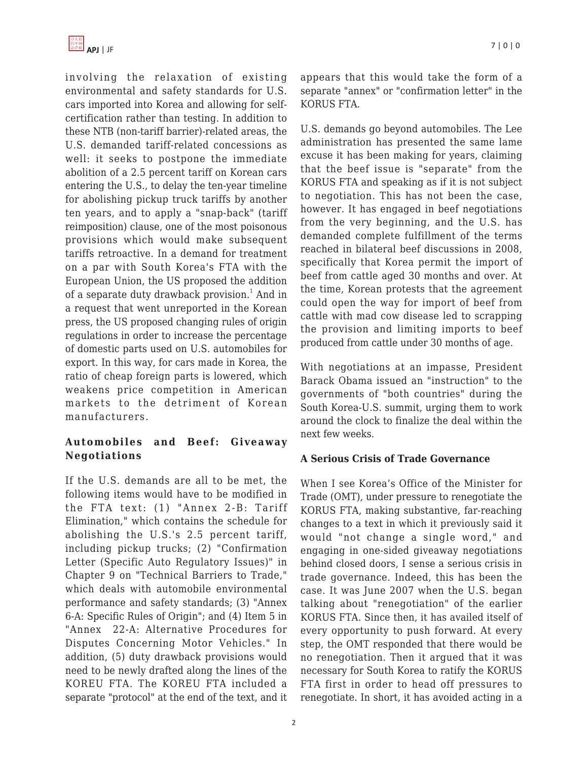involving the relaxation of existing environmental and safety standards for U.S. cars imported into Korea and allowing for selfcertification rather than testing. In addition to these NTB (non-tariff barrier)-related areas, the U.S. demanded tariff-related concessions as well: it seeks to postpone the immediate abolition of a 2.5 percent tariff on Korean cars entering the U.S., to delay the ten-year timeline for abolishing pickup truck tariffs by another ten years, and to apply a "snap-back" (tariff reimposition) clause, one of the most poisonous provisions which would make subsequent tariffs retroactive. In a demand for treatment on a par with South Korea's FTA with the European Union, the US proposed the addition of a separate duty drawback provision.<sup>1</sup> And in a request that went unreported in the Korean press, the US proposed changing rules of origin regulations in order to increase the percentage of domestic parts used on U.S. automobiles for export. In this way, for cars made in Korea, the ratio of cheap foreign parts is lowered, which weakens price competition in American markets to the detriment of Korean manufacturers.

## **Automobiles and Beef: Giveaway Negotiations**

If the U.S. demands are all to be met, the following items would have to be modified in the FTA text: (1) "Annex 2-B: Tariff Elimination," which contains the schedule for abolishing the U.S.'s 2.5 percent tariff, including pickup trucks; (2) "Confirmation Letter (Specific Auto Regulatory Issues)" in Chapter 9 on "Technical Barriers to Trade," which deals with automobile environmental performance and safety standards; (3) "Annex 6-A: Specific Rules of Origin"; and (4) Item 5 in "Annex 22-A: Alternative Procedures for Disputes Concerning Motor Vehicles." In addition, (5) duty drawback provisions would need to be newly drafted along the lines of the KOREU FTA. The KOREU FTA included a separate "protocol" at the end of the text, and it appears that this would take the form of a separate "annex" or "confirmation letter" in the KORUS FTA.

U.S. demands go beyond automobiles. The Lee administration has presented the same lame excuse it has been making for years, claiming that the beef issue is "separate" from the KORUS FTA and speaking as if it is not subject to negotiation. This has not been the case, however. It has engaged in beef negotiations from the very beginning, and the U.S. has demanded complete fulfillment of the terms reached in bilateral beef discussions in 2008, specifically that Korea permit the import of beef from cattle aged 30 months and over. At the time, Korean protests that the agreement could open the way for import of beef from cattle with mad cow disease led to scrapping the provision and limiting imports to beef produced from cattle under 30 months of age.

With negotiations at an impasse, President Barack Obama issued an "instruction" to the governments of "both countries" during the South Korea-U.S. summit, urging them to work around the clock to finalize the deal within the next few weeks.

## **A Serious Crisis of Trade Governance**

When I see Korea's Office of the Minister for Trade (OMT), under pressure to renegotiate the KORUS FTA, making substantive, far-reaching changes to a text in which it previously said it would "not change a single word," and engaging in one-sided giveaway negotiations behind closed doors, I sense a serious crisis in trade governance. Indeed, this has been the case. It was June 2007 when the U.S. began talking about "renegotiation" of the earlier KORUS FTA. Since then, it has availed itself of every opportunity to push forward. At every step, the OMT responded that there would be no renegotiation. Then it argued that it was necessary for South Korea to ratify the KORUS FTA first in order to head off pressures to renegotiate. In short, it has avoided acting in a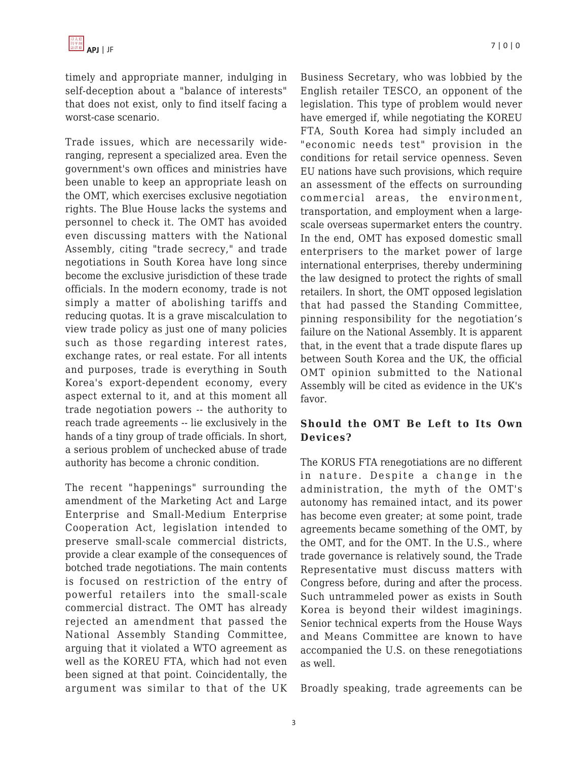timely and appropriate manner, indulging in self-deception about a "balance of interests" that does not exist, only to find itself facing a worst-case scenario.

Trade issues, which are necessarily wideranging, represent a specialized area. Even the government's own offices and ministries have been unable to keep an appropriate leash on the OMT, which exercises exclusive negotiation rights. The Blue House lacks the systems and personnel to check it. The OMT has avoided even discussing matters with the National Assembly, citing "trade secrecy," and trade negotiations in South Korea have long since become the exclusive jurisdiction of these trade officials. In the modern economy, trade is not simply a matter of abolishing tariffs and reducing quotas. It is a grave miscalculation to view trade policy as just one of many policies such as those regarding interest rates, exchange rates, or real estate. For all intents and purposes, trade is everything in South Korea's export-dependent economy, every aspect external to it, and at this moment all trade negotiation powers -- the authority to reach trade agreements -- lie exclusively in the hands of a tiny group of trade officials. In short, a serious problem of unchecked abuse of trade authority has become a chronic condition.

The recent "happenings" surrounding the amendment of the Marketing Act and Large Enterprise and Small-Medium Enterprise Cooperation Act, legislation intended to preserve small-scale commercial districts, provide a clear example of the consequences of botched trade negotiations. The main contents is focused on restriction of the entry of powerful retailers into the small-scale commercial distract. The OMT has already rejected an amendment that passed the National Assembly Standing Committee, arguing that it violated a WTO agreement as well as the KOREU FTA, which had not even been signed at that point. Coincidentally, the argument was similar to that of the UK Business Secretary, who was lobbied by the English retailer TESCO, an opponent of the legislation. This type of problem would never have emerged if, while negotiating the KOREU FTA, South Korea had simply included an "economic needs test" provision in the conditions for retail service openness. Seven EU nations have such provisions, which require an assessment of the effects on surrounding commercial areas, the environment, transportation, and employment when a largescale overseas supermarket enters the country. In the end, OMT has exposed domestic small enterprisers to the market power of large international enterprises, thereby undermining the law designed to protect the rights of small retailers. In short, the OMT opposed legislation that had passed the Standing Committee, pinning responsibility for the negotiation's failure on the National Assembly. It is apparent that, in the event that a trade dispute flares up between South Korea and the UK, the official OMT opinion submitted to the National Assembly will be cited as evidence in the UK's favor.

### **Should the OMT Be Left to Its Own Devices?**

The KORUS FTA renegotiations are no different in nature. Despite a change in the administration, the myth of the OMT's autonomy has remained intact, and its power has become even greater; at some point, trade agreements became something of the OMT, by the OMT, and for the OMT. In the U.S., where trade governance is relatively sound, the Trade Representative must discuss matters with Congress before, during and after the process. Such untrammeled power as exists in South Korea is beyond their wildest imaginings. Senior technical experts from the House Ways and Means Committee are known to have accompanied the U.S. on these renegotiations as well.

Broadly speaking, trade agreements can be